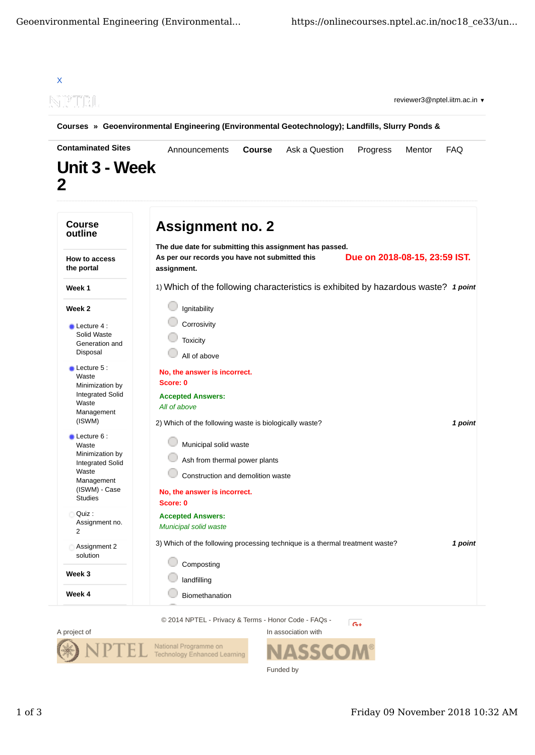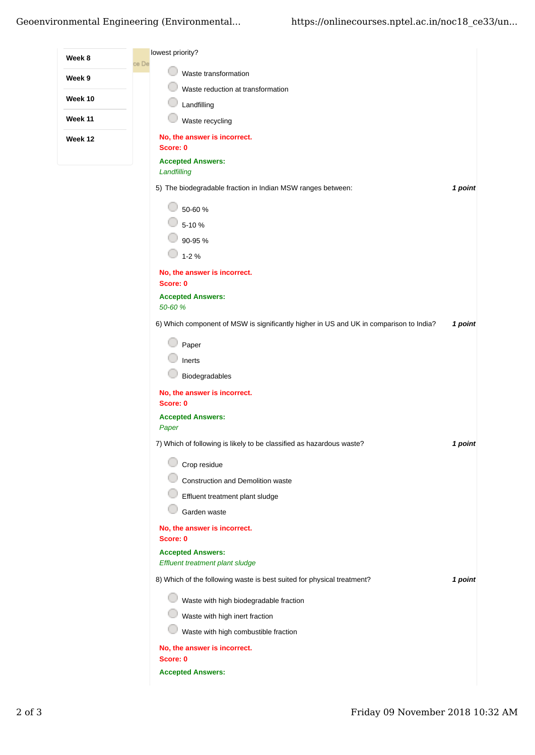